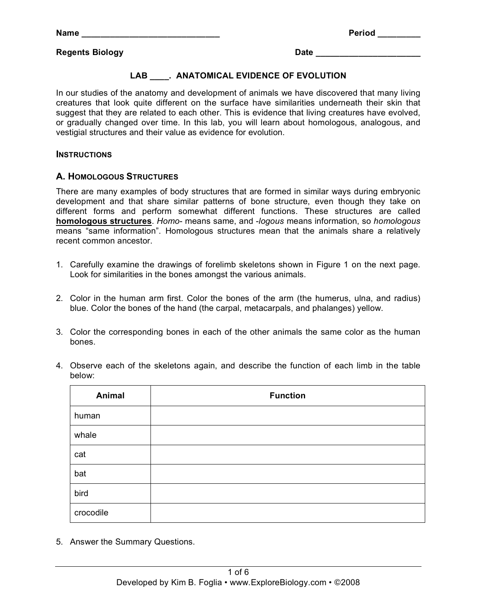#### **Regents Biology Date 2018**

### **LAB \_\_\_\_. ANATOMICAL EVIDENCE OF EVOLUTION**

In our studies of the anatomy and development of animals we have discovered that many living creatures that look quite different on the surface have similarities underneath their skin that suggest that they are related to each other. This is evidence that living creatures have evolved, or gradually changed over time. In this lab, you will learn about homologous, analogous, and vestigial structures and their value as evidence for evolution.

#### **INSTRUCTIONS**

#### **A. HOMOLOGOUS STRUCTURES**

There are many examples of body structures that are formed in similar ways during embryonic development and that share similar patterns of bone structure, even though they take on different forms and perform somewhat different functions. These structures are called **homologous structures**. *Homo*- means same, and -*logous* means information, so *homologous* means "same information". Homologous structures mean that the animals share a relatively recent common ancestor.

- 1. Carefully examine the drawings of forelimb skeletons shown in Figure 1 on the next page. Look for similarities in the bones amongst the various animals.
- 2. Color in the human arm first. Color the bones of the arm (the humerus, ulna, and radius) blue. Color the bones of the hand (the carpal, metacarpals, and phalanges) yellow.
- 3. Color the corresponding bones in each of the other animals the same color as the human bones.
- 4. Observe each of the skeletons again, and describe the function of each limb in the table below:

| Animal    | <b>Function</b> |
|-----------|-----------------|
| human     |                 |
| whale     |                 |
| cat       |                 |
| bat       |                 |
| bird      |                 |
| crocodile |                 |

5. Answer the Summary Questions.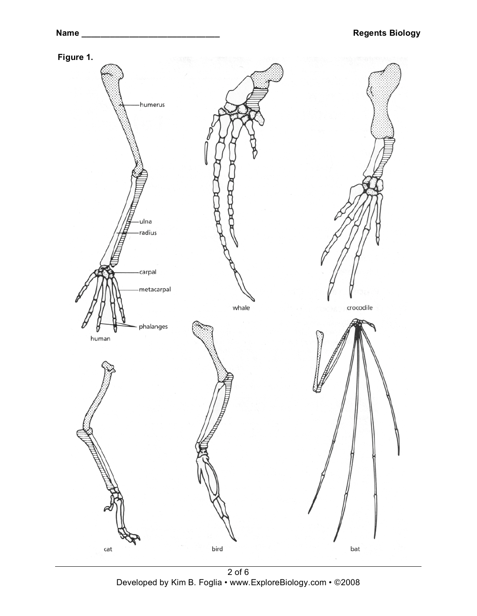

2 of 6 Developed by Kim B. Foglia • www.ExploreBiology.com • ©2008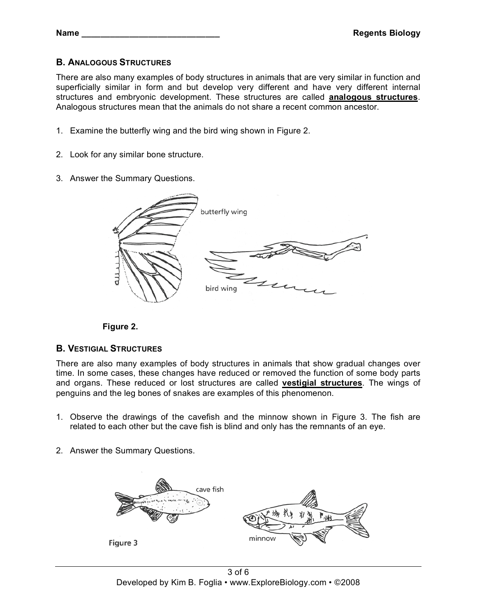# **B. ANALOGOUS STRUCTURES**

There are also many examples of body structures in animals that are very similar in function and superficially similar in form and but develop very different and have very different internal structures and embryonic development. These structures are called **analogous structures**. Analogous structures mean that the animals do not share a recent common ancestor.

- 1. Examine the butterfly wing and the bird wing shown in Figure 2.
- 2. Look for any similar bone structure.
- 3. Answer the Summary Questions.





### **B. VESTIGIAL STRUCTURES**

There are also many examples of body structures in animals that show gradual changes over time. In some cases, these changes have reduced or removed the function of some body parts and organs. These reduced or lost structures are called **vestigial structures**. The wings of penguins and the leg bones of snakes are examples of this phenomenon.

- 1. Observe the drawings of the cavefish and the minnow shown in Figure 3. The fish are related to each other but the cave fish is blind and only has the remnants of an eye.
- 2. Answer the Summary Questions.

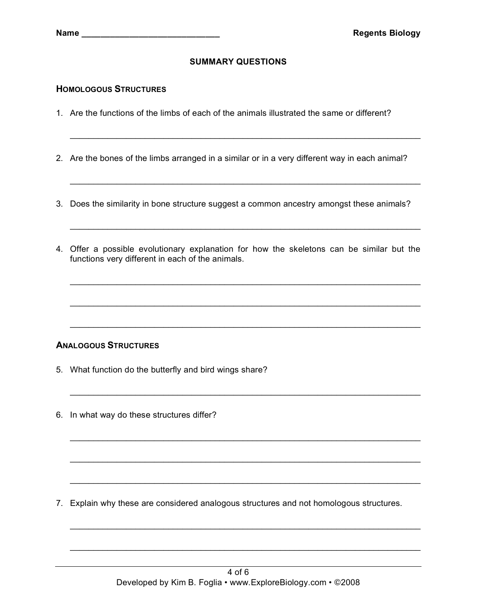# **SUMMARY QUESTIONS**

#### **HOMOLOGOUS STRUCTURES**

- 1. Are the functions of the limbs of each of the animals illustrated the same or different?
- 2. Are the bones of the limbs arranged in a similar or in a very different way in each animal?

\_\_\_\_\_\_\_\_\_\_\_\_\_\_\_\_\_\_\_\_\_\_\_\_\_\_\_\_\_\_\_\_\_\_\_\_\_\_\_\_\_\_\_\_\_\_\_\_\_\_\_\_\_\_\_\_\_\_\_\_\_\_\_\_\_\_\_\_\_\_\_\_\_\_\_

\_\_\_\_\_\_\_\_\_\_\_\_\_\_\_\_\_\_\_\_\_\_\_\_\_\_\_\_\_\_\_\_\_\_\_\_\_\_\_\_\_\_\_\_\_\_\_\_\_\_\_\_\_\_\_\_\_\_\_\_\_\_\_\_\_\_\_\_\_\_\_\_\_\_\_

\_\_\_\_\_\_\_\_\_\_\_\_\_\_\_\_\_\_\_\_\_\_\_\_\_\_\_\_\_\_\_\_\_\_\_\_\_\_\_\_\_\_\_\_\_\_\_\_\_\_\_\_\_\_\_\_\_\_\_\_\_\_\_\_\_\_\_\_\_\_\_\_\_\_\_

\_\_\_\_\_\_\_\_\_\_\_\_\_\_\_\_\_\_\_\_\_\_\_\_\_\_\_\_\_\_\_\_\_\_\_\_\_\_\_\_\_\_\_\_\_\_\_\_\_\_\_\_\_\_\_\_\_\_\_\_\_\_\_\_\_\_\_\_\_\_\_\_\_\_\_

\_\_\_\_\_\_\_\_\_\_\_\_\_\_\_\_\_\_\_\_\_\_\_\_\_\_\_\_\_\_\_\_\_\_\_\_\_\_\_\_\_\_\_\_\_\_\_\_\_\_\_\_\_\_\_\_\_\_\_\_\_\_\_\_\_\_\_\_\_\_\_\_\_\_\_

\_\_\_\_\_\_\_\_\_\_\_\_\_\_\_\_\_\_\_\_\_\_\_\_\_\_\_\_\_\_\_\_\_\_\_\_\_\_\_\_\_\_\_\_\_\_\_\_\_\_\_\_\_\_\_\_\_\_\_\_\_\_\_\_\_\_\_\_\_\_\_\_\_\_\_

\_\_\_\_\_\_\_\_\_\_\_\_\_\_\_\_\_\_\_\_\_\_\_\_\_\_\_\_\_\_\_\_\_\_\_\_\_\_\_\_\_\_\_\_\_\_\_\_\_\_\_\_\_\_\_\_\_\_\_\_\_\_\_\_\_\_\_\_\_\_\_\_\_\_\_

\_\_\_\_\_\_\_\_\_\_\_\_\_\_\_\_\_\_\_\_\_\_\_\_\_\_\_\_\_\_\_\_\_\_\_\_\_\_\_\_\_\_\_\_\_\_\_\_\_\_\_\_\_\_\_\_\_\_\_\_\_\_\_\_\_\_\_\_\_\_\_\_\_\_\_

\_\_\_\_\_\_\_\_\_\_\_\_\_\_\_\_\_\_\_\_\_\_\_\_\_\_\_\_\_\_\_\_\_\_\_\_\_\_\_\_\_\_\_\_\_\_\_\_\_\_\_\_\_\_\_\_\_\_\_\_\_\_\_\_\_\_\_\_\_\_\_\_\_\_\_

\_\_\_\_\_\_\_\_\_\_\_\_\_\_\_\_\_\_\_\_\_\_\_\_\_\_\_\_\_\_\_\_\_\_\_\_\_\_\_\_\_\_\_\_\_\_\_\_\_\_\_\_\_\_\_\_\_\_\_\_\_\_\_\_\_\_\_\_\_\_\_\_\_\_\_

\_\_\_\_\_\_\_\_\_\_\_\_\_\_\_\_\_\_\_\_\_\_\_\_\_\_\_\_\_\_\_\_\_\_\_\_\_\_\_\_\_\_\_\_\_\_\_\_\_\_\_\_\_\_\_\_\_\_\_\_\_\_\_\_\_\_\_\_\_\_\_\_\_\_\_

 $\mathcal{L}_\text{max}$  , and the contribution of the contribution of the contribution of the contribution of the contribution of the contribution of the contribution of the contribution of the contribution of the contribution of t

- 3. Does the similarity in bone structure suggest a common ancestry amongst these animals?
- 4. Offer a possible evolutionary explanation for how the skeletons can be similar but the functions very different in each of the animals.

### **ANALOGOUS STRUCTURES**

- 5. What function do the butterfly and bird wings share?
- 6. In what way do these structures differ?

7. Explain why these are considered analogous structures and not homologous structures.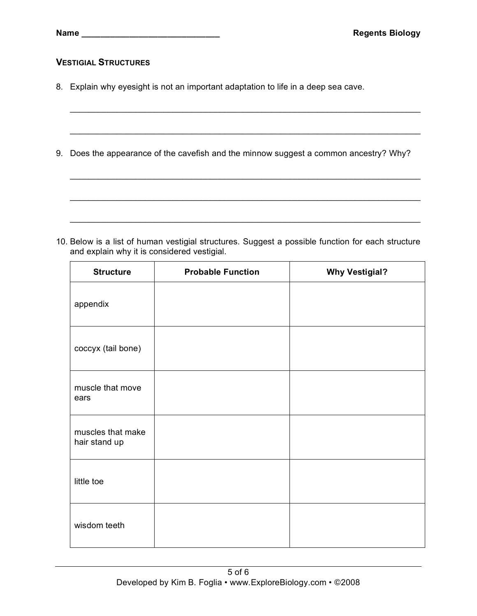### **VESTIGIAL STRUCTURES**

- 8. Explain why eyesight is not an important adaptation to life in a deep sea cave.
- 9. Does the appearance of the cavefish and the minnow suggest a common ancestry? Why?

\_\_\_\_\_\_\_\_\_\_\_\_\_\_\_\_\_\_\_\_\_\_\_\_\_\_\_\_\_\_\_\_\_\_\_\_\_\_\_\_\_\_\_\_\_\_\_\_\_\_\_\_\_\_\_\_\_\_\_\_\_\_\_\_\_\_\_\_\_\_\_\_\_\_\_

\_\_\_\_\_\_\_\_\_\_\_\_\_\_\_\_\_\_\_\_\_\_\_\_\_\_\_\_\_\_\_\_\_\_\_\_\_\_\_\_\_\_\_\_\_\_\_\_\_\_\_\_\_\_\_\_\_\_\_\_\_\_\_\_\_\_\_\_\_\_\_\_\_\_\_

\_\_\_\_\_\_\_\_\_\_\_\_\_\_\_\_\_\_\_\_\_\_\_\_\_\_\_\_\_\_\_\_\_\_\_\_\_\_\_\_\_\_\_\_\_\_\_\_\_\_\_\_\_\_\_\_\_\_\_\_\_\_\_\_\_\_\_\_\_\_\_\_\_\_\_

\_\_\_\_\_\_\_\_\_\_\_\_\_\_\_\_\_\_\_\_\_\_\_\_\_\_\_\_\_\_\_\_\_\_\_\_\_\_\_\_\_\_\_\_\_\_\_\_\_\_\_\_\_\_\_\_\_\_\_\_\_\_\_\_\_\_\_\_\_\_\_\_\_\_\_

\_\_\_\_\_\_\_\_\_\_\_\_\_\_\_\_\_\_\_\_\_\_\_\_\_\_\_\_\_\_\_\_\_\_\_\_\_\_\_\_\_\_\_\_\_\_\_\_\_\_\_\_\_\_\_\_\_\_\_\_\_\_\_\_\_\_\_\_\_\_\_\_\_\_\_

10. Below is a list of human vestigial structures. Suggest a possible function for each structure and explain why it is considered vestigial.

| <b>Structure</b>                   | <b>Probable Function</b> | <b>Why Vestigial?</b> |
|------------------------------------|--------------------------|-----------------------|
| appendix                           |                          |                       |
| coccyx (tail bone)                 |                          |                       |
| muscle that move<br>ears           |                          |                       |
| muscles that make<br>hair stand up |                          |                       |
| little toe                         |                          |                       |
| wisdom teeth                       |                          |                       |